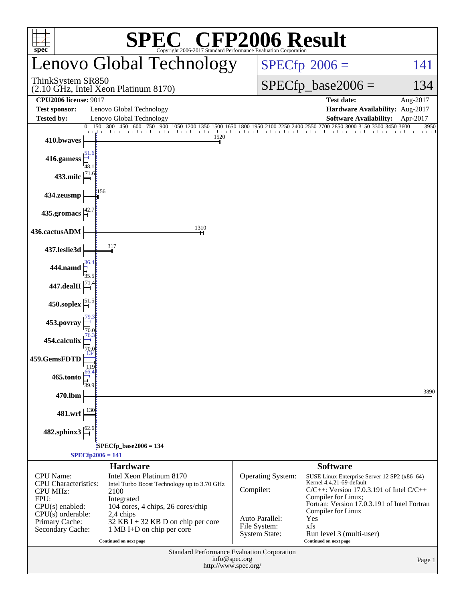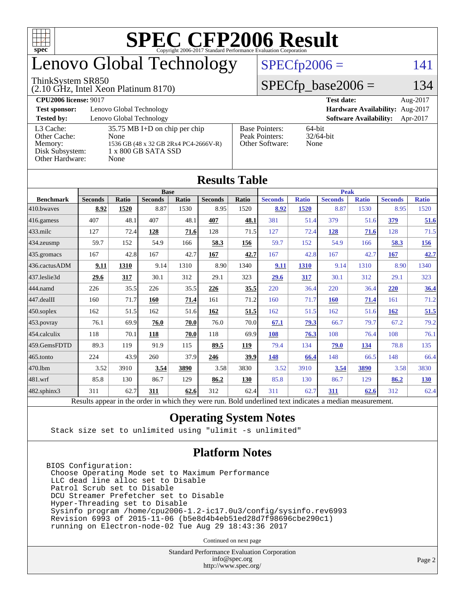

### enovo Global Technology

#### ThinkSystem SR850

(2.10 GHz, Intel Xeon Platinum 8170)

 $SPECfp2006 = 141$  $SPECfp2006 = 141$ 

#### $SPECfp\_base2006 = 134$

| <b>CPU2006 license: 9017</b>                                               |                                                                                                                 |                                                            | <b>Test date:</b>                      | Aug-2017 |
|----------------------------------------------------------------------------|-----------------------------------------------------------------------------------------------------------------|------------------------------------------------------------|----------------------------------------|----------|
| <b>Test sponsor:</b>                                                       | Lenovo Global Technology                                                                                        | Hardware Availability: Aug-2017                            |                                        |          |
| <b>Tested by:</b>                                                          | Lenovo Global Technology                                                                                        |                                                            | <b>Software Availability:</b> Apr-2017 |          |
| L3 Cache:<br>Other Cache:<br>Memory:<br>Disk Subsystem:<br>Other Hardware: | $35.75$ MB I+D on chip per chip<br>None<br>1536 GB (48 x 32 GB 2Rx4 PC4-2666V-R)<br>1 x 800 GB SATA SSD<br>None | <b>Base Pointers:</b><br>Peak Pointers:<br>Other Software: | $64$ -bit<br>$32/64$ -bit<br>None      |          |

**[Results Table](http://www.spec.org/auto/cpu2006/Docs/result-fields.html#ResultsTable)**

|                  | TICHTH THUIC   |       |                |       |                |             |                                                                                                          |              |                |              |                |              |
|------------------|----------------|-------|----------------|-------|----------------|-------------|----------------------------------------------------------------------------------------------------------|--------------|----------------|--------------|----------------|--------------|
|                  | <b>Base</b>    |       |                |       |                | <b>Peak</b> |                                                                                                          |              |                |              |                |              |
| <b>Benchmark</b> | <b>Seconds</b> | Ratio | <b>Seconds</b> | Ratio | <b>Seconds</b> | Ratio       | <b>Seconds</b>                                                                                           | <b>Ratio</b> | <b>Seconds</b> | <b>Ratio</b> | <b>Seconds</b> | <b>Ratio</b> |
| 410.bwayes       | 8.92           | 1520  | 8.87           | 1530  | 8.95           | 1520        | 8.92                                                                                                     | 1520         | 8.87           | 1530         | 8.95           | 1520         |
| 416.gamess       | 407            | 48.1  | 407            | 48.1  | 407            | 48.1        | 381                                                                                                      | 51.4         | 379            | 51.6         | 379            | 51.6         |
| 433.milc         | 127            | 72.4  | 128            | 71.6  | 128            | 71.5        | 127                                                                                                      | 72.4         | 128            | 71.6         | 128            | 71.5         |
| 434.zeusmp       | 59.7           | 152   | 54.9           | 166   | 58.3           | 156         | 59.7                                                                                                     | 152          | 54.9           | 166          | 58.3           | <u>156</u>   |
| 435.gromacs      | 167            | 42.8  | 167            | 42.7  | 167            | 42.7        | 167                                                                                                      | 42.8         | 167            | 42.7         | 167            | 42.7         |
| 436.cactusADM    | 9.11           | 1310  | 9.14           | 1310  | 8.90           | 1340        | 9.11                                                                                                     | 1310         | 9.14           | 1310         | 8.90           | 1340         |
| 437.leslie3d     | 29.6           | 317   | 30.1           | 312   | 29.1           | 323         | 29.6                                                                                                     | 317          | 30.1           | 312          | 29.1           | 323          |
| 444.namd         | 226            | 35.5  | 226            | 35.5  | 226            | 35.5        | 220                                                                                                      | 36.4         | 220            | 36.4         | 220            | 36.4         |
| 447.dealII       | 160            | 71.7  | 160            | 71.4  | 161            | 71.2        | 160                                                                                                      | 71.7         | 160            | 71.4         | 161            | 71.2         |
| 450.soplex       | 162            | 51.5  | 162            | 51.6  | 162            | 51.5        | 162                                                                                                      | 51.5         | 162            | 51.6         | 162            | 51.5         |
| 453.povray       | 76.1           | 69.9  | 76.0           | 70.0  | 76.0           | 70.0        | 67.1                                                                                                     | 79.3         | 66.7           | 79.7         | 67.2           | 79.2         |
| 454.calculix     | 118            | 70.1  | 118            | 70.0  | 118            | 69.9        | 108                                                                                                      | 76.3         | 108            | 76.4         | 108            | 76.1         |
| 459.GemsFDTD     | 89.3           | 119   | 91.9           | 115   | 89.5           | 119         | 79.4                                                                                                     | 134          | 79.0           | 134          | 78.8           | 135          |
| 465.tonto        | 224            | 43.9  | 260            | 37.9  | 246            | 39.9        | 148                                                                                                      | 66.4         | 148            | 66.5         | 148            | 66.4         |
| 470.1bm          | 3.52           | 3910  | 3.54           | 3890  | 3.58           | 3830        | 3.52                                                                                                     | 3910         | 3.54           | 3890         | 3.58           | 3830         |
| 481.wrf          | 85.8           | 130   | 86.7           | 129   | 86.2           | 130         | 85.8                                                                                                     | 130          | 86.7           | 129          | 86.2           | 130          |
| 482.sphinx3      | 311            | 62.7  | 311            | 62.6  | 312            | 62.4        | 311                                                                                                      | 62.7         | 311            | 62.6         | 312            | 62.4         |
|                  |                |       |                |       |                |             | Results appear in the order in which they were run. Bold underlined text indicates a median measurement. |              |                |              |                |              |

#### **[Operating System Notes](http://www.spec.org/auto/cpu2006/Docs/result-fields.html#OperatingSystemNotes)**

Stack size set to unlimited using "ulimit -s unlimited"

#### **[Platform Notes](http://www.spec.org/auto/cpu2006/Docs/result-fields.html#PlatformNotes)**

BIOS Configuration: Choose Operating Mode set to Maximum Performance LLC dead line alloc set to Disable Patrol Scrub set to Disable DCU Streamer Prefetcher set to Disable Hyper-Threading set to Disable Sysinfo program /home/cpu2006-1.2-ic17.0u3/config/sysinfo.rev6993 Revision 6993 of 2015-11-06 (b5e8d4b4eb51ed28d7f98696cbe290c1) running on Electron-node-02 Tue Aug 29 18:43:36 2017

Continued on next page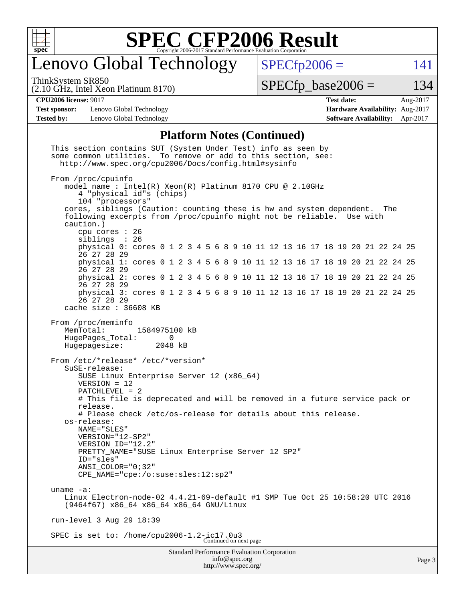

### enovo Global Technology

ThinkSystem SR850

 $SPECTp2006 = 141$ 

(2.10 GHz, Intel Xeon Platinum 8170)

 $SPECTp\_base2006 = 134$ 

#### **[CPU2006 license:](http://www.spec.org/auto/cpu2006/Docs/result-fields.html#CPU2006license)** 9017 **[Test date:](http://www.spec.org/auto/cpu2006/Docs/result-fields.html#Testdate)** Aug-2017

**[Test sponsor:](http://www.spec.org/auto/cpu2006/Docs/result-fields.html#Testsponsor)** Lenovo Global Technology **[Hardware Availability:](http://www.spec.org/auto/cpu2006/Docs/result-fields.html#HardwareAvailability)** Aug-2017 **[Tested by:](http://www.spec.org/auto/cpu2006/Docs/result-fields.html#Testedby)** Lenovo Global Technology **[Software Availability:](http://www.spec.org/auto/cpu2006/Docs/result-fields.html#SoftwareAvailability)** Apr-2017

# **[Platform Notes \(Continued\)](http://www.spec.org/auto/cpu2006/Docs/result-fields.html#PlatformNotes)**

Standard Performance Evaluation Corporation [info@spec.org](mailto:info@spec.org) This section contains SUT (System Under Test) info as seen by some common utilities. To remove or add to this section, see: <http://www.spec.org/cpu2006/Docs/config.html#sysinfo> From /proc/cpuinfo model name : Intel(R) Xeon(R) Platinum 8170 CPU @ 2.10GHz 4 "physical id"s (chips) 104 "processors" cores, siblings (Caution: counting these is hw and system dependent. The following excerpts from /proc/cpuinfo might not be reliable. Use with caution.) cpu cores : 26 siblings physical 0: cores 0 1 2 3 4 5 6 8 9 10 11 12 13 16 17 18 19 20 21 22 24 25 26 27 28 29 physical 1: cores 0 1 2 3 4 5 6 8 9 10 11 12 13 16 17 18 19 20 21 22 24 25 26 27 28 29 physical 2: cores 0 1 2 3 4 5 6 8 9 10 11 12 13 16 17 18 19 20 21 22 24 25 26 27 28 29 physical 3: cores 0 1 2 3 4 5 6 8 9 10 11 12 13 16 17 18 19 20 21 22 24 25 26 27 28 29 cache size : 36608 KB From /proc/meminfo MemTotal: 1584975100 kB<br>HugePages Total: 0 HugePages\_Total: 0 Hugepagesize: 2048 kB From /etc/\*release\* /etc/\*version\* SuSE-release: SUSE Linux Enterprise Server 12 (x86\_64) VERSION = 12 PATCHLEVEL = 2 # This file is deprecated and will be removed in a future service pack or release. # Please check /etc/os-release for details about this release. os-release: NAME="SLES" VERSION="12-SP2" VERSION\_ID="12.2" PRETTY\_NAME="SUSE Linux Enterprise Server 12 SP2" ID="sles" ANSI\_COLOR="0;32" CPE\_NAME="cpe:/o:suse:sles:12:sp2" uname -a: Linux Electron-node-02 4.4.21-69-default #1 SMP Tue Oct 25 10:58:20 UTC 2016 (9464f67) x86\_64 x86\_64 x86\_64 GNU/Linux run-level 3 Aug 29 18:39 SPEC is set to: /home/cpu2006-1.2-ic17.0u3 Continued on next page

<http://www.spec.org/>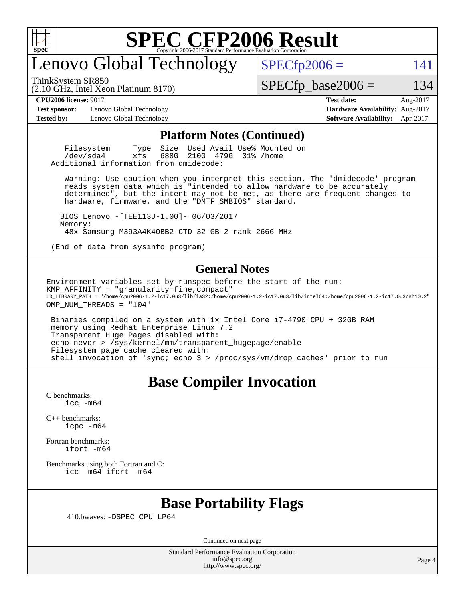

### enovo Global Technology

ThinkSystem SR850

 $SPECTp2006 = 141$ 

(2.10 GHz, Intel Xeon Platinum 8170)

 $SPECTp\_base2006 = 134$ 

**[Test sponsor:](http://www.spec.org/auto/cpu2006/Docs/result-fields.html#Testsponsor)** Lenovo Global Technology **[Hardware Availability:](http://www.spec.org/auto/cpu2006/Docs/result-fields.html#HardwareAvailability)** Aug-2017 **[Tested by:](http://www.spec.org/auto/cpu2006/Docs/result-fields.html#Testedby)** Lenovo Global Technology **[Software Availability:](http://www.spec.org/auto/cpu2006/Docs/result-fields.html#SoftwareAvailability)** Apr-2017

**[CPU2006 license:](http://www.spec.org/auto/cpu2006/Docs/result-fields.html#CPU2006license)** 9017 **[Test date:](http://www.spec.org/auto/cpu2006/Docs/result-fields.html#Testdate)** Aug-2017

#### **[Platform Notes \(Continued\)](http://www.spec.org/auto/cpu2006/Docs/result-fields.html#PlatformNotes)**

Filesystem Type Size Used Avail Use% Mounted on<br>
/dev/sda4 xfs 688G 210G 479G 31% /home 210G 479G 31% /home Additional information from dmidecode:

 Warning: Use caution when you interpret this section. The 'dmidecode' program reads system data which is "intended to allow hardware to be accurately determined", but the intent may not be met, as there are frequent changes to hardware, firmware, and the "DMTF SMBIOS" standard.

 BIOS Lenovo -[TEE113J-1.00]- 06/03/2017 Memory: 48x Samsung M393A4K40BB2-CTD 32 GB 2 rank 2666 MHz

(End of data from sysinfo program)

#### **[General Notes](http://www.spec.org/auto/cpu2006/Docs/result-fields.html#GeneralNotes)**

Environment variables set by runspec before the start of the run: KMP\_AFFINITY = "granularity=fine,compact"  $\verb|LD_LIBRARY_PATH = "/home/cpu2006-1.2-ic17.0u3/lib/ia32:}/home/cpu2006-1.2-ic17.0u3/lib/inte164:/home/cpu2006-1.2-ic17.0u3/sh10.2"$ OMP\_NUM\_THREADS = "104"

 Binaries compiled on a system with 1x Intel Core i7-4790 CPU + 32GB RAM memory using Redhat Enterprise Linux 7.2 Transparent Huge Pages disabled with: echo never > /sys/kernel/mm/transparent\_hugepage/enable Filesystem page cache cleared with: shell invocation of 'sync; echo 3 > /proc/sys/vm/drop\_caches' prior to run

#### **[Base Compiler Invocation](http://www.spec.org/auto/cpu2006/Docs/result-fields.html#BaseCompilerInvocation)**

[C benchmarks](http://www.spec.org/auto/cpu2006/Docs/result-fields.html#Cbenchmarks): [icc -m64](http://www.spec.org/cpu2006/results/res2017q4/cpu2006-20170918-49974.flags.html#user_CCbase_intel_icc_64bit_bda6cc9af1fdbb0edc3795bac97ada53)

[C++ benchmarks:](http://www.spec.org/auto/cpu2006/Docs/result-fields.html#CXXbenchmarks) [icpc -m64](http://www.spec.org/cpu2006/results/res2017q4/cpu2006-20170918-49974.flags.html#user_CXXbase_intel_icpc_64bit_fc66a5337ce925472a5c54ad6a0de310)

[Fortran benchmarks](http://www.spec.org/auto/cpu2006/Docs/result-fields.html#Fortranbenchmarks): [ifort -m64](http://www.spec.org/cpu2006/results/res2017q4/cpu2006-20170918-49974.flags.html#user_FCbase_intel_ifort_64bit_ee9d0fb25645d0210d97eb0527dcc06e)

[Benchmarks using both Fortran and C](http://www.spec.org/auto/cpu2006/Docs/result-fields.html#BenchmarksusingbothFortranandC): [icc -m64](http://www.spec.org/cpu2006/results/res2017q4/cpu2006-20170918-49974.flags.html#user_CC_FCbase_intel_icc_64bit_bda6cc9af1fdbb0edc3795bac97ada53) [ifort -m64](http://www.spec.org/cpu2006/results/res2017q4/cpu2006-20170918-49974.flags.html#user_CC_FCbase_intel_ifort_64bit_ee9d0fb25645d0210d97eb0527dcc06e)

#### **[Base Portability Flags](http://www.spec.org/auto/cpu2006/Docs/result-fields.html#BasePortabilityFlags)**

410.bwaves: [-DSPEC\\_CPU\\_LP64](http://www.spec.org/cpu2006/results/res2017q4/cpu2006-20170918-49974.flags.html#suite_basePORTABILITY410_bwaves_DSPEC_CPU_LP64)

Continued on next page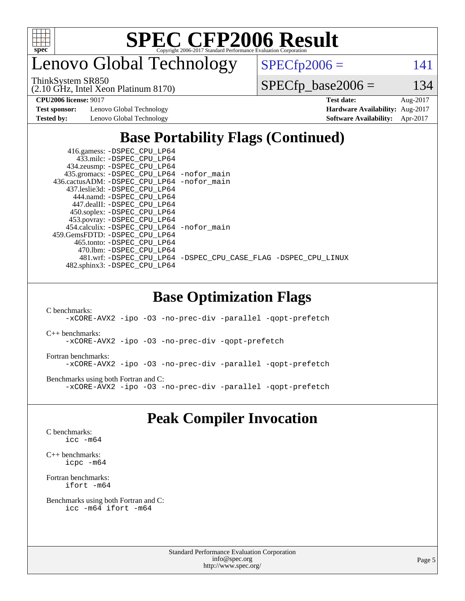

enovo Global Technology

ThinkSystem SR850

 $SPECTp2006 = 141$ 

(2.10 GHz, Intel Xeon Platinum 8170)

 $SPECfp\_base2006 = 134$ 

**[Test sponsor:](http://www.spec.org/auto/cpu2006/Docs/result-fields.html#Testsponsor)** Lenovo Global Technology **[Hardware Availability:](http://www.spec.org/auto/cpu2006/Docs/result-fields.html#HardwareAvailability)** Aug-2017

**[CPU2006 license:](http://www.spec.org/auto/cpu2006/Docs/result-fields.html#CPU2006license)** 9017 **[Test date:](http://www.spec.org/auto/cpu2006/Docs/result-fields.html#Testdate)** Aug-2017 **[Tested by:](http://www.spec.org/auto/cpu2006/Docs/result-fields.html#Testedby)** Lenovo Global Technology **[Software Availability:](http://www.spec.org/auto/cpu2006/Docs/result-fields.html#SoftwareAvailability)** Apr-2017

#### **[Base Portability Flags \(Continued\)](http://www.spec.org/auto/cpu2006/Docs/result-fields.html#BasePortabilityFlags)**

| 481.wrf: -DSPEC CPU_LP64 -DSPEC_CPU_CASE_FLAG -DSPEC_CPU_LINUX |
|----------------------------------------------------------------|
|                                                                |
|                                                                |

#### **[Base Optimization Flags](http://www.spec.org/auto/cpu2006/Docs/result-fields.html#BaseOptimizationFlags)**

[C benchmarks](http://www.spec.org/auto/cpu2006/Docs/result-fields.html#Cbenchmarks):

[-xCORE-AVX2](http://www.spec.org/cpu2006/results/res2017q4/cpu2006-20170918-49974.flags.html#user_CCbase_f-xCORE-AVX2) [-ipo](http://www.spec.org/cpu2006/results/res2017q4/cpu2006-20170918-49974.flags.html#user_CCbase_f-ipo) [-O3](http://www.spec.org/cpu2006/results/res2017q4/cpu2006-20170918-49974.flags.html#user_CCbase_f-O3) [-no-prec-div](http://www.spec.org/cpu2006/results/res2017q4/cpu2006-20170918-49974.flags.html#user_CCbase_f-no-prec-div) [-parallel](http://www.spec.org/cpu2006/results/res2017q4/cpu2006-20170918-49974.flags.html#user_CCbase_f-parallel) [-qopt-prefetch](http://www.spec.org/cpu2006/results/res2017q4/cpu2006-20170918-49974.flags.html#user_CCbase_f-qopt-prefetch)

[C++ benchmarks:](http://www.spec.org/auto/cpu2006/Docs/result-fields.html#CXXbenchmarks)

[-xCORE-AVX2](http://www.spec.org/cpu2006/results/res2017q4/cpu2006-20170918-49974.flags.html#user_CXXbase_f-xCORE-AVX2) [-ipo](http://www.spec.org/cpu2006/results/res2017q4/cpu2006-20170918-49974.flags.html#user_CXXbase_f-ipo) [-O3](http://www.spec.org/cpu2006/results/res2017q4/cpu2006-20170918-49974.flags.html#user_CXXbase_f-O3) [-no-prec-div](http://www.spec.org/cpu2006/results/res2017q4/cpu2006-20170918-49974.flags.html#user_CXXbase_f-no-prec-div) [-qopt-prefetch](http://www.spec.org/cpu2006/results/res2017q4/cpu2006-20170918-49974.flags.html#user_CXXbase_f-qopt-prefetch)

[Fortran benchmarks](http://www.spec.org/auto/cpu2006/Docs/result-fields.html#Fortranbenchmarks):

[-xCORE-AVX2](http://www.spec.org/cpu2006/results/res2017q4/cpu2006-20170918-49974.flags.html#user_FCbase_f-xCORE-AVX2) [-ipo](http://www.spec.org/cpu2006/results/res2017q4/cpu2006-20170918-49974.flags.html#user_FCbase_f-ipo) [-O3](http://www.spec.org/cpu2006/results/res2017q4/cpu2006-20170918-49974.flags.html#user_FCbase_f-O3) [-no-prec-div](http://www.spec.org/cpu2006/results/res2017q4/cpu2006-20170918-49974.flags.html#user_FCbase_f-no-prec-div) [-parallel](http://www.spec.org/cpu2006/results/res2017q4/cpu2006-20170918-49974.flags.html#user_FCbase_f-parallel) [-qopt-prefetch](http://www.spec.org/cpu2006/results/res2017q4/cpu2006-20170918-49974.flags.html#user_FCbase_f-qopt-prefetch)

[Benchmarks using both Fortran and C](http://www.spec.org/auto/cpu2006/Docs/result-fields.html#BenchmarksusingbothFortranandC): [-xCORE-AVX2](http://www.spec.org/cpu2006/results/res2017q4/cpu2006-20170918-49974.flags.html#user_CC_FCbase_f-xCORE-AVX2) [-ipo](http://www.spec.org/cpu2006/results/res2017q4/cpu2006-20170918-49974.flags.html#user_CC_FCbase_f-ipo) [-O3](http://www.spec.org/cpu2006/results/res2017q4/cpu2006-20170918-49974.flags.html#user_CC_FCbase_f-O3) [-no-prec-div](http://www.spec.org/cpu2006/results/res2017q4/cpu2006-20170918-49974.flags.html#user_CC_FCbase_f-no-prec-div) [-parallel](http://www.spec.org/cpu2006/results/res2017q4/cpu2006-20170918-49974.flags.html#user_CC_FCbase_f-parallel) [-qopt-prefetch](http://www.spec.org/cpu2006/results/res2017q4/cpu2006-20170918-49974.flags.html#user_CC_FCbase_f-qopt-prefetch)

#### **[Peak Compiler Invocation](http://www.spec.org/auto/cpu2006/Docs/result-fields.html#PeakCompilerInvocation)**

[C benchmarks](http://www.spec.org/auto/cpu2006/Docs/result-fields.html#Cbenchmarks): [icc -m64](http://www.spec.org/cpu2006/results/res2017q4/cpu2006-20170918-49974.flags.html#user_CCpeak_intel_icc_64bit_bda6cc9af1fdbb0edc3795bac97ada53)

[C++ benchmarks:](http://www.spec.org/auto/cpu2006/Docs/result-fields.html#CXXbenchmarks) [icpc -m64](http://www.spec.org/cpu2006/results/res2017q4/cpu2006-20170918-49974.flags.html#user_CXXpeak_intel_icpc_64bit_fc66a5337ce925472a5c54ad6a0de310)

[Fortran benchmarks](http://www.spec.org/auto/cpu2006/Docs/result-fields.html#Fortranbenchmarks): [ifort -m64](http://www.spec.org/cpu2006/results/res2017q4/cpu2006-20170918-49974.flags.html#user_FCpeak_intel_ifort_64bit_ee9d0fb25645d0210d97eb0527dcc06e)

[Benchmarks using both Fortran and C](http://www.spec.org/auto/cpu2006/Docs/result-fields.html#BenchmarksusingbothFortranandC): [icc -m64](http://www.spec.org/cpu2006/results/res2017q4/cpu2006-20170918-49974.flags.html#user_CC_FCpeak_intel_icc_64bit_bda6cc9af1fdbb0edc3795bac97ada53) [ifort -m64](http://www.spec.org/cpu2006/results/res2017q4/cpu2006-20170918-49974.flags.html#user_CC_FCpeak_intel_ifort_64bit_ee9d0fb25645d0210d97eb0527dcc06e)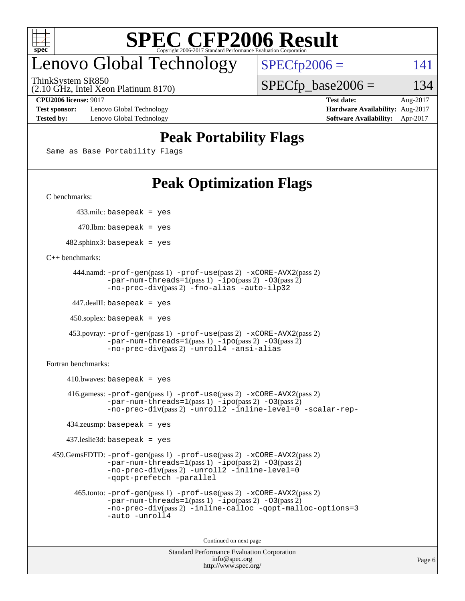

### enovo Global Technology

ThinkSystem SR850

 $SPECTp2006 = 141$ 

 $SPECTp\_base2006 = 134$ 

(2.10 GHz, Intel Xeon Platinum 8170)

**[Test sponsor:](http://www.spec.org/auto/cpu2006/Docs/result-fields.html#Testsponsor)** Lenovo Global Technology **[Hardware Availability:](http://www.spec.org/auto/cpu2006/Docs/result-fields.html#HardwareAvailability)** Aug-2017 **[Tested by:](http://www.spec.org/auto/cpu2006/Docs/result-fields.html#Testedby)** Lenovo Global Technology **[Software Availability:](http://www.spec.org/auto/cpu2006/Docs/result-fields.html#SoftwareAvailability)** Apr-2017

**[CPU2006 license:](http://www.spec.org/auto/cpu2006/Docs/result-fields.html#CPU2006license)** 9017 **[Test date:](http://www.spec.org/auto/cpu2006/Docs/result-fields.html#Testdate)** Aug-2017

#### **[Peak Portability Flags](http://www.spec.org/auto/cpu2006/Docs/result-fields.html#PeakPortabilityFlags)**

Same as Base Portability Flags

### **[Peak Optimization Flags](http://www.spec.org/auto/cpu2006/Docs/result-fields.html#PeakOptimizationFlags)**

[C benchmarks](http://www.spec.org/auto/cpu2006/Docs/result-fields.html#Cbenchmarks):

433.milc: basepeak = yes

 $470$ .lbm: basepeak = yes

 $482$ .sphinx3: basepeak = yes

#### [C++ benchmarks:](http://www.spec.org/auto/cpu2006/Docs/result-fields.html#CXXbenchmarks)

```
 444.namd: -prof-gen(pass 1) -prof-use(pass 2) -xCORE-AVX2(pass 2)
        -par-num-threads=1(pass 1) -ipo(pass 2) -O3(pass 2)
        -no-prec-div(pass 2) -fno-alias -auto-ilp32
```
447.dealII: basepeak = yes

 $450$ .soplex: basepeak = yes

```
 453.povray: -prof-gen(pass 1) -prof-use(pass 2) -xCORE-AVX2(pass 2)
         -par-num-threads=1-ipo-O3(pass 2)-no-prec-div(pass 2) -unroll4 -ansi-alias
```
[Fortran benchmarks](http://www.spec.org/auto/cpu2006/Docs/result-fields.html#Fortranbenchmarks):

```
410.bwaves: basepeak = yes 416.gamess: -prof-gen(pass 1) -prof-use(pass 2) -xCORE-AVX2(pass 2)
            -par-num-threads=1-ipo-O3(pass 2)-no-prec-div(pass 2) -unroll2 -inline-level=0 -scalar-rep-
    434.zeusmp: basepeak = yes
    437.leslie3d: basepeak = yes
 459.GemsFDTD: -prof-gen(pass 1) -prof-use(pass 2) -xCORE-AVX2(pass 2)
            -par-num-threads=1-ipo-O3(pass 2)-no-prec-div(pass 2) -unroll2 -inline-level=0
            -qopt-prefetch -parallel
      465.tonto: -prof-gen(pass 1) -prof-use(pass 2) -xCORE-AVX2(pass 2)
            -par-num-threads=1(pass 1) -ipo(pass 2) -O3(pass 2)
            -no-prec-div-inline-calloc-qopt-malloc-options=3
            -auto -unroll4
```
Continued on next page

```
Standard Performance Evaluation Corporation
             info@spec.org
           http://www.spec.org/
```